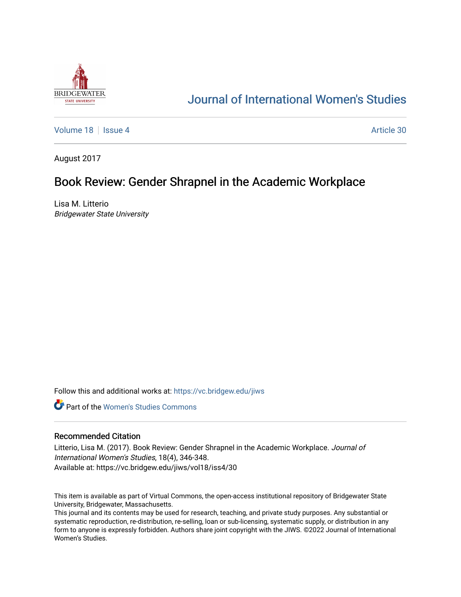

# [Journal of International Women's Studies](https://vc.bridgew.edu/jiws)

[Volume 18](https://vc.bridgew.edu/jiws/vol18) September 18 [Issue 4](https://vc.bridgew.edu/jiws/vol18/iss4) Article 30

August 2017

## Book Review: Gender Shrapnel in the Academic Workplace

Lisa M. Litterio Bridgewater State University

Follow this and additional works at: [https://vc.bridgew.edu/jiws](https://vc.bridgew.edu/jiws?utm_source=vc.bridgew.edu%2Fjiws%2Fvol18%2Fiss4%2F30&utm_medium=PDF&utm_campaign=PDFCoverPages)

**C** Part of the Women's Studies Commons

## Recommended Citation

Litterio, Lisa M. (2017). Book Review: Gender Shrapnel in the Academic Workplace. Journal of International Women's Studies, 18(4), 346-348. Available at: https://vc.bridgew.edu/jiws/vol18/iss4/30

This item is available as part of Virtual Commons, the open-access institutional repository of Bridgewater State University, Bridgewater, Massachusetts.

This journal and its contents may be used for research, teaching, and private study purposes. Any substantial or systematic reproduction, re-distribution, re-selling, loan or sub-licensing, systematic supply, or distribution in any form to anyone is expressly forbidden. Authors share joint copyright with the JIWS. ©2022 Journal of International Women's Studies.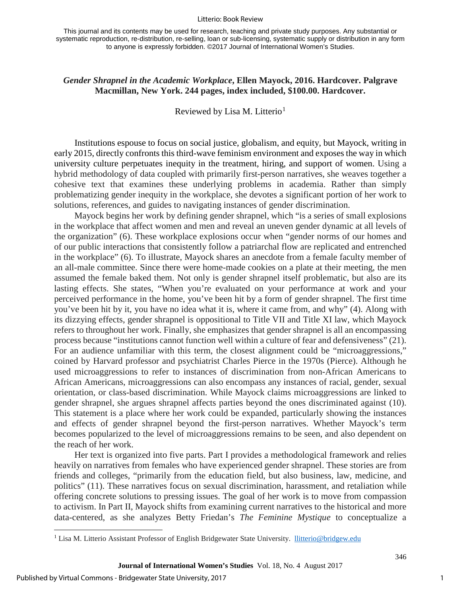#### Litterio: Book Review

## *Gender Shrapnel in the Academic Workplace***, Ellen Mayock, 2016. Hardcover. Palgrave Macmillan, New York. 244 pages, index included, \$100.00. Hardcover.**

Reviewed by Lisa M. Litterio<sup>[1](#page-1-0)</sup>

Institutions espouse to focus on social justice, globalism, and equity, but Mayock, writing in early 2015, directly confronts this third-wave feminism environment and exposes the way in which university culture perpetuates inequity in the treatment, hiring, and support of women. Using a hybrid methodology of data coupled with primarily first-person narratives, she weaves together a cohesive text that examines these underlying problems in academia. Rather than simply problematizing gender inequity in the workplace, she devotes a significant portion of her work to solutions, references, and guides to navigating instances of gender discrimination.

Mayock begins her work by defining gender shrapnel, which "is a series of small explosions in the workplace that affect women and men and reveal an uneven gender dynamic at all levels of the organization" (6). These workplace explosions occur when "gender norms of our homes and of our public interactions that consistently follow a patriarchal flow are replicated and entrenched in the workplace" (6). To illustrate, Mayock shares an anecdote from a female faculty member of an all-male committee. Since there were home-made cookies on a plate at their meeting, the men assumed the female baked them. Not only is gender shrapnel itself problematic, but also are its lasting effects. She states, "When you're evaluated on your performance at work and your perceived performance in the home, you've been hit by a form of gender shrapnel. The first time you've been hit by it, you have no idea what it is, where it came from, and why" (4). Along with its dizzying effects, gender shrapnel is oppositional to Title VII and Title XI law, which Mayock refers to throughout her work. Finally, she emphasizes that gender shrapnel is all an encompassing process because "institutions cannot function well within a culture of fear and defensiveness" (21). For an audience unfamiliar with this term, the closest alignment could be "microaggressions," coined by Harvard professor and psychiatrist Charles Pierce in the 1970s (Pierce). Although he used microaggressions to refer to instances of discrimination from non-African Americans to African Americans, microaggressions can also encompass any instances of racial, gender, sexual orientation, or class-based discrimination. While Mayock claims microaggressions are linked to gender shrapnel, she argues shrapnel affects parties beyond the ones discriminated against (10). This statement is a place where her work could be expanded, particularly showing the instances and effects of gender shrapnel beyond the first-person narratives. Whether Mayock's term becomes popularized to the level of microaggressions remains to be seen, and also dependent on the reach of her work.

Her text is organized into five parts. Part I provides a methodological framework and relies heavily on narratives from females who have experienced gender shrapnel. These stories are from friends and colleges, "primarily from the education field, but also business, law, medicine, and politics" (11). These narratives focus on sexual discrimination, harassment, and retaliation while offering concrete solutions to pressing issues. The goal of her work is to move from compassion to activism. In Part II, Mayock shifts from examining current narratives to the historical and more data-centered, as she analyzes Betty Friedan's *The Feminine Mystique* to conceptualize a

l

346

<span id="page-1-0"></span><sup>&</sup>lt;sup>1</sup> Lisa M. Litterio Assistant Professor of English Bridgewater State University. [llitterio@bridgew.edu](mailto:llitterio@bridgew.edu)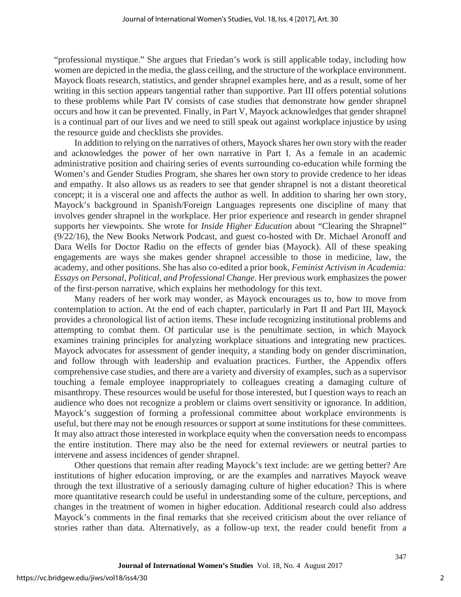"professional mystique." She argues that Friedan's work is still applicable today, including how women are depicted in the media, the glass ceiling, and the structure of the workplace environment. Mayock floats research, statistics, and gender shrapnel examples here, and as a result, some of her writing in this section appears tangential rather than supportive. Part III offers potential solutions to these problems while Part IV consists of case studies that demonstrate how gender shrapnel occurs and how it can be prevented. Finally, in Part V, Mayock acknowledges that gender shrapnel is a continual part of our lives and we need to still speak out against workplace injustice by using the resource guide and checklists she provides.

In addition to relying on the narratives of others, Mayock shares her own story with the reader and acknowledges the power of her own narrative in Part I. As a female in an academic administrative position and chairing series of events surrounding co-education while forming the Women's and Gender Studies Program, she shares her own story to provide credence to her ideas and empathy. It also allows us as readers to see that gender shrapnel is not a distant theoretical concept; it is a visceral one and affects the author as well. In addition to sharing her own story, Mayock's background in Spanish/Foreign Languages represents one discipline of many that involves gender shrapnel in the workplace. Her prior experience and research in gender shrapnel supports her viewpoints. She wrote for *Inside Higher Education* about "Clearing the Shrapnel" (9/22/16), the New Books Network Podcast, and guest co-hosted with Dr. Michael Aronoff and Dara Wells for Doctor Radio on the effects of gender bias (Mayock). All of these speaking engagements are ways she makes gender shrapnel accessible to those in medicine, law, the academy, and other positions. She has also co-edited a prior book, *Feminist Activism in Academia: Essays on Personal, Political, and Professional Change*. Her previous work emphasizes the power of the first-person narrative, which explains her methodology for this text.

Many readers of her work may wonder, as Mayock encourages us to, how to move from contemplation to action. At the end of each chapter, particularly in Part II and Part III, Mayock provides a chronological list of action items. These include recognizing institutional problems and attempting to combat them. Of particular use is the penultimate section, in which Mayock examines training principles for analyzing workplace situations and integrating new practices. Mayock advocates for assessment of gender inequity, a standing body on gender discrimination, and follow through with leadership and evaluation practices. Further, the Appendix offers comprehensive case studies, and there are a variety and diversity of examples, such as a supervisor touching a female employee inappropriately to colleagues creating a damaging culture of misanthropy. These resources would be useful for those interested, but I question ways to reach an audience who does not recognize a problem or claims overt sensitivity or ignorance. In addition, Mayock's suggestion of forming a professional committee about workplace environments is useful, but there may not be enough resources or support at some institutions for these committees. It may also attract those interested in workplace equity when the conversation needs to encompass the entire institution. There may also be the need for external reviewers or neutral parties to intervene and assess incidences of gender shrapnel.

Other questions that remain after reading Mayock's text include: are we getting better? Are institutions of higher education improving, or are the examples and narratives Mayock weave through the text illustrative of a seriously damaging culture of higher education? This is where more quantitative research could be useful in understanding some of the culture, perceptions, and changes in the treatment of women in higher education. Additional research could also address Mayock's comments in the final remarks that she received criticism about the over reliance of stories rather than data. Alternatively, as a follow-up text, the reader could benefit from a